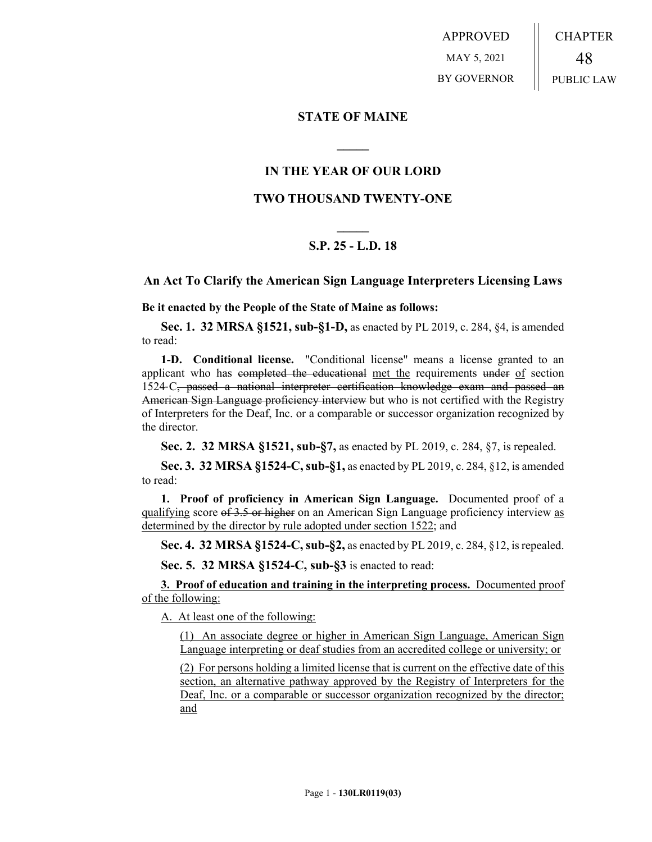APPROVED MAY 5, 2021 BY GOVERNOR CHAPTER 48 PUBLIC LAW

### **STATE OF MAINE**

## **IN THE YEAR OF OUR LORD**

**\_\_\_\_\_**

### **TWO THOUSAND TWENTY-ONE**

# **\_\_\_\_\_ S.P. 25 - L.D. 18**

#### **An Act To Clarify the American Sign Language Interpreters Licensing Laws**

**Be it enacted by the People of the State of Maine as follows:**

**Sec. 1. 32 MRSA §1521, sub-§1-D,** as enacted by PL 2019, c. 284, §4, is amended to read:

**1-D. Conditional license.** "Conditional license" means a license granted to an applicant who has completed the educational met the requirements under of section 1524‑C, passed a national interpreter certification knowledge exam and passed an American Sign Language proficiency interview but who is not certified with the Registry of Interpreters for the Deaf, Inc. or a comparable or successor organization recognized by the director.

**Sec. 2. 32 MRSA §1521, sub-§7,** as enacted by PL 2019, c. 284, §7, is repealed.

**Sec. 3. 32 MRSA §1524-C, sub-§1,** as enacted by PL 2019, c. 284, §12, is amended to read:

**1. Proof of proficiency in American Sign Language.** Documented proof of a qualifying score of 3.5 or higher on an American Sign Language proficiency interview as determined by the director by rule adopted under section 1522; and

**Sec. 4. 32 MRSA §1524-C, sub-§2,** as enacted by PL 2019, c. 284, §12, is repealed.

**Sec. 5. 32 MRSA §1524-C, sub-§3** is enacted to read:

**3. Proof of education and training in the interpreting process.** Documented proof of the following:

A. At least one of the following:

(1) An associate degree or higher in American Sign Language, American Sign Language interpreting or deaf studies from an accredited college or university; or

(2) For persons holding a limited license that is current on the effective date of this section, an alternative pathway approved by the Registry of Interpreters for the Deaf, Inc. or a comparable or successor organization recognized by the director; and